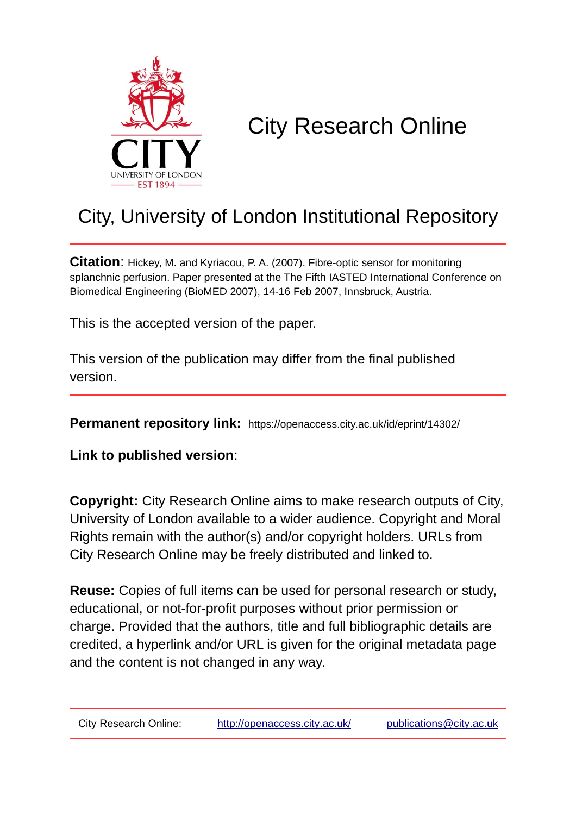

# City Research Online

## City, University of London Institutional Repository

**Citation**: Hickey, M. and Kyriacou, P. A. (2007). Fibre-optic sensor for monitoring splanchnic perfusion. Paper presented at the The Fifth IASTED International Conference on Biomedical Engineering (BioMED 2007), 14-16 Feb 2007, Innsbruck, Austria.

This is the accepted version of the paper.

This version of the publication may differ from the final published version.

**Permanent repository link:** https://openaccess.city.ac.uk/id/eprint/14302/

**Link to published version**:

**Copyright:** City Research Online aims to make research outputs of City, University of London available to a wider audience. Copyright and Moral Rights remain with the author(s) and/or copyright holders. URLs from City Research Online may be freely distributed and linked to.

**Reuse:** Copies of full items can be used for personal research or study, educational, or not-for-profit purposes without prior permission or charge. Provided that the authors, title and full bibliographic details are credited, a hyperlink and/or URL is given for the original metadata page and the content is not changed in any way.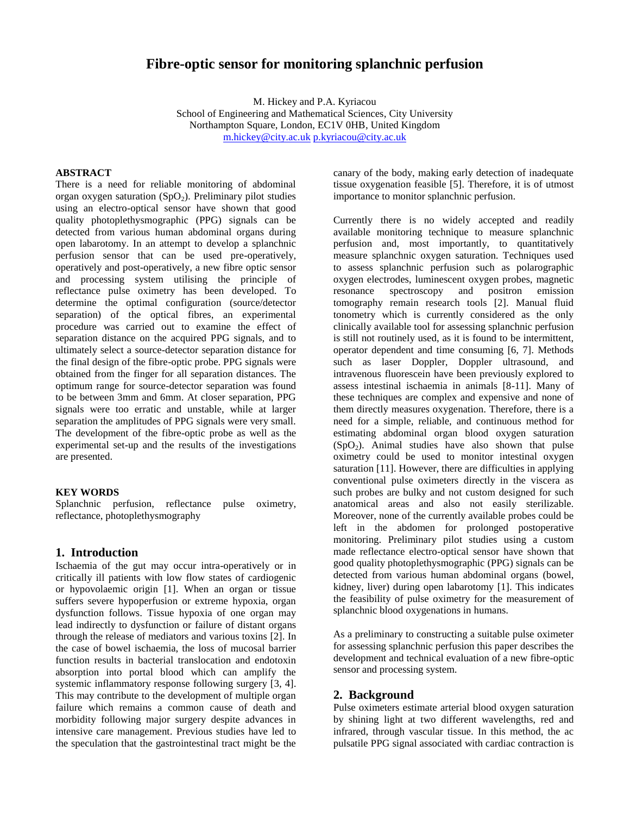## **Fibre-optic sensor for monitoring splanchnic perfusion**

M. Hickey and P.A. Kyriacou

School of Engineering and Mathematical Sciences, City University Northampton Square, London, EC1V 0HB, United Kingdom [m.hickey@city.ac.uk](mailto:m.hickey@city.ac.uk) [p.kyriacou@city.ac.uk](mailto:p.kyriacou@city.ac.uk)

#### **ABSTRACT**

There is a need for reliable monitoring of abdominal organ oxygen saturation  $(SpO<sub>2</sub>)$ . Preliminary pilot studies using an electro-optical sensor have shown that good quality photoplethysmographic (PPG) signals can be detected from various human abdominal organs during open labarotomy. In an attempt to develop a splanchnic perfusion sensor that can be used pre-operatively, operatively and post-operatively, a new fibre optic sensor and processing system utilising the principle of reflectance pulse oximetry has been developed. To determine the optimal configuration (source/detector separation) of the optical fibres, an experimental procedure was carried out to examine the effect of separation distance on the acquired PPG signals, and to ultimately select a source-detector separation distance for the final design of the fibre-optic probe. PPG signals were obtained from the finger for all separation distances. The optimum range for source-detector separation was found to be between 3mm and 6mm. At closer separation, PPG signals were too erratic and unstable, while at larger separation the amplitudes of PPG signals were very small. The development of the fibre-optic probe as well as the experimental set-up and the results of the investigations are presented.

#### **KEY WORDS**

Splanchnic perfusion, reflectance pulse oximetry, reflectance, photoplethysmography

## **1. Introduction**

Ischaemia of the gut may occur intra-operatively or in critically ill patients with low flow states of cardiogenic or hypovolaemic origin [1]. When an organ or tissue suffers severe hypoperfusion or extreme hypoxia, organ dysfunction follows. Tissue hypoxia of one organ may lead indirectly to dysfunction or failure of distant organs through the release of mediators and various toxins [2]. In the case of bowel ischaemia, the loss of mucosal barrier function results in bacterial translocation and endotoxin absorption into portal blood which can amplify the systemic inflammatory response following surgery [3, 4]. This may contribute to the development of multiple organ failure which remains a common cause of death and morbidity following major surgery despite advances in intensive care management. Previous studies have led to the speculation that the gastrointestinal tract might be the canary of the body, making early detection of inadequate tissue oxygenation feasible [5]. Therefore, it is of utmost importance to monitor splanchnic perfusion.

Currently there is no widely accepted and readily available monitoring technique to measure splanchnic perfusion and, most importantly, to quantitatively measure splanchnic oxygen saturation. Techniques used to assess splanchnic perfusion such as polarographic oxygen electrodes, luminescent oxygen probes, magnetic resonance spectroscopy and positron emission tomography remain research tools [2]. Manual fluid tonometry which is currently considered as the only clinically available tool for assessing splanchnic perfusion is still not routinely used, as it is found to be intermittent, operator dependent and time consuming [6, 7]. Methods such as laser Doppler, Doppler ultrasound, and intravenous fluorescein have been previously explored to assess intestinal ischaemia in animals [8-11]. Many of these techniques are complex and expensive and none of them directly measures oxygenation. Therefore, there is a need for a simple, reliable, and continuous method for estimating abdominal organ blood oxygen saturation  $(SpO<sub>2</sub>)$ . Animal studies have also shown that pulse oximetry could be used to monitor intestinal oxygen saturation [11]. However, there are difficulties in applying conventional pulse oximeters directly in the viscera as such probes are bulky and not custom designed for such anatomical areas and also not easily sterilizable. Moreover, none of the currently available probes could be left in the abdomen for prolonged postoperative monitoring. Preliminary pilot studies using a custom made reflectance electro-optical sensor have shown that good quality photoplethysmographic (PPG) signals can be detected from various human abdominal organs (bowel, kidney, liver) during open labarotomy [1]. This indicates the feasibility of pulse oximetry for the measurement of splanchnic blood oxygenations in humans.

As a preliminary to constructing a suitable pulse oximeter for assessing splanchnic perfusion this paper describes the development and technical evaluation of a new fibre-optic sensor and processing system.

## **2. Background**

Pulse oximeters estimate arterial blood oxygen saturation by shining light at two different wavelengths, red and infrared, through vascular tissue. In this method, the ac pulsatile PPG signal associated with cardiac contraction is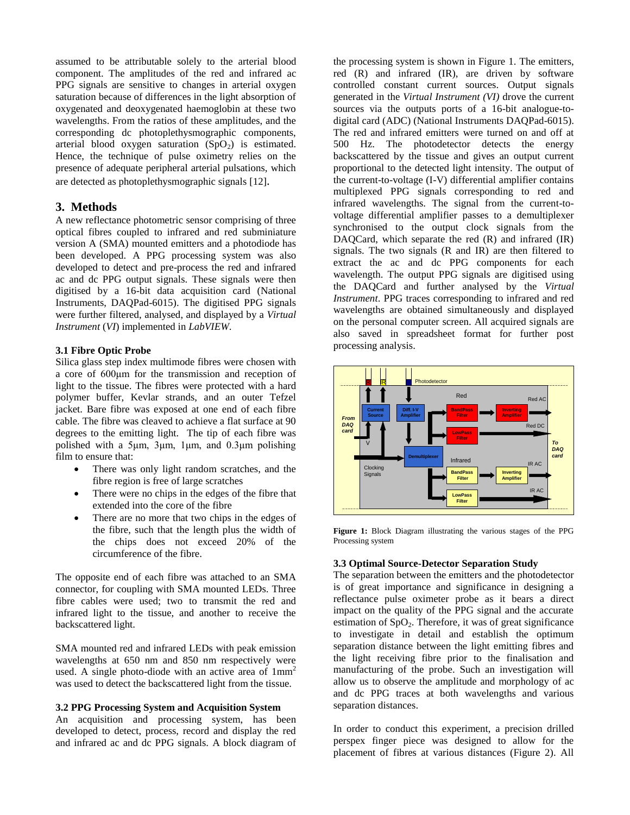assumed to be attributable solely to the arterial blood component. The amplitudes of the red and infrared ac PPG signals are sensitive to changes in arterial oxygen saturation because of differences in the light absorption of oxygenated and deoxygenated haemoglobin at these two wavelengths. From the ratios of these amplitudes, and the corresponding dc photoplethysmographic components, arterial blood oxygen saturation  $(SpO<sub>2</sub>)$  is estimated. Hence, the technique of pulse oximetry relies on the presence of adequate peripheral arterial pulsations, which are detected as photoplethysmographic signals [12].

## **3. Methods**

A new reflectance photometric sensor comprising of three optical fibres coupled to infrared and red subminiature version A (SMA) mounted emitters and a photodiode has been developed. A PPG processing system was also developed to detect and pre-process the red and infrared ac and dc PPG output signals. These signals were then digitised by a 16-bit data acquisition card (National Instruments, DAQPad-6015). The digitised PPG signals were further filtered, analysed, and displayed by a *Virtual Instrument* (*VI*) implemented in *LabVIEW*.

#### **3.1 Fibre Optic Probe**

Silica glass step index multimode fibres were chosen with a core of 600μm for the transmission and reception of light to the tissue. The fibres were protected with a hard polymer buffer, Kevlar strands, and an outer Tefzel jacket. Bare fibre was exposed at one end of each fibre cable. The fibre was cleaved to achieve a flat surface at 90 degrees to the emitting light. The tip of each fibre was polished with a 5μm, 3μm, 1μm, and 0.3μm polishing film to ensure that:

- There was only light random scratches, and the fibre region is free of large scratches
- There were no chips in the edges of the fibre that extended into the core of the fibre
- There are no more that two chips in the edges of the fibre, such that the length plus the width of the chips does not exceed 20% of the circumference of the fibre.

The opposite end of each fibre was attached to an SMA connector, for coupling with SMA mounted LEDs. Three fibre cables were used; two to transmit the red and infrared light to the tissue, and another to receive the backscattered light.

SMA mounted red and infrared LEDs with peak emission wavelengths at 650 nm and 850 nm respectively were used. A single photo-diode with an active area of  $1mm<sup>2</sup>$ was used to detect the backscattered light from the tissue.

## **3.2 PPG Processing System and Acquisition System**

An acquisition and processing system, has been developed to detect, process, record and display the red and infrared ac and dc PPG signals. A block diagram of the processing system is shown in Figure 1. The emitters, red (R) and infrared (IR), are driven by software controlled constant current sources. Output signals generated in the *Virtual Instrument (VI)* drove the current sources via the outputs ports of a 16-bit analogue-todigital card (ADC) (National Instruments DAQPad-6015). The red and infrared emitters were turned on and off at 500 Hz. The photodetector detects the energy backscattered by the tissue and gives an output current proportional to the detected light intensity. The output of the current-to-voltage (I-V) differential amplifier contains multiplexed PPG signals corresponding to red and infrared wavelengths. The signal from the current-tovoltage differential amplifier passes to a demultiplexer synchronised to the output clock signals from the DAQCard, which separate the red (R) and infrared (IR) signals. The two signals (R and IR) are then filtered to extract the ac and dc PPG components for each wavelength. The output PPG signals are digitised using the DAQCard and further analysed by the *Virtual Instrument*. PPG traces corresponding to infrared and red wavelengths are obtained simultaneously and displayed on the personal computer screen. All acquired signals are also saved in spreadsheet format for further post processing analysis.



**Figure 1:** Block Diagram illustrating the various stages of the PPG Processing system

#### **3.3 Optimal Source-Detector Separation Study**

The separation between the emitters and the photodetector is of great importance and significance in designing a reflectance pulse oximeter probe as it bears a direct impact on the quality of the PPG signal and the accurate estimation of  $SpO<sub>2</sub>$ . Therefore, it was of great significance to investigate in detail and establish the optimum separation distance between the light emitting fibres and the light receiving fibre prior to the finalisation and manufacturing of the probe. Such an investigation will allow us to observe the amplitude and morphology of ac and dc PPG traces at both wavelengths and various separation distances.

In order to conduct this experiment, a precision drilled perspex finger piece was designed to allow for the placement of fibres at various distances (Figure 2). All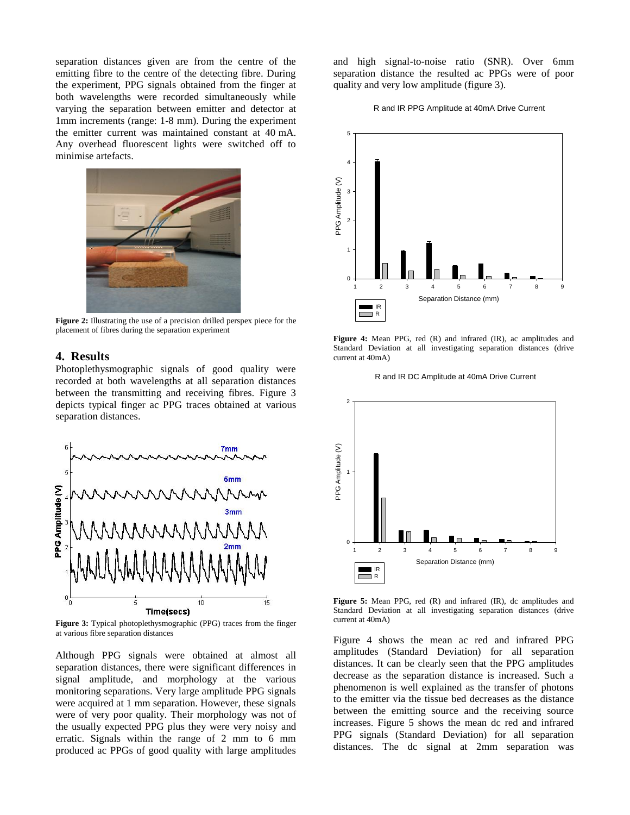separation distances given are from the centre of the emitting fibre to the centre of the detecting fibre. During the experiment, PPG signals obtained from the finger at both wavelengths were recorded simultaneously while varying the separation between emitter and detector at 1mm increments (range: 1-8 mm). During the experiment the emitter current was maintained constant at 40 mA. Any overhead fluorescent lights were switched off to minimise artefacts.



**Figure 2:** Illustrating the use of a precision drilled perspex piece for the placement of fibres during the separation experiment

## **4. Results**

Photoplethysmographic signals of good quality were recorded at both wavelengths at all separation distances between the transmitting and receiving fibres. Figure 3 depicts typical finger ac PPG traces obtained at various separation distances.



**Figure 3:** Typical photoplethysmographic (PPG) traces from the finger at various fibre separation distances

Although PPG signals were obtained at almost all separation distances, there were significant differences in signal amplitude, and morphology at the various monitoring separations. Very large amplitude PPG signals were acquired at 1 mm separation. However, these signals were of very poor quality. Their morphology was not of the usually expected PPG plus they were very noisy and erratic. Signals within the range of 2 mm to 6 mm produced ac PPGs of good quality with large amplitudes and high signal-to-noise ratio (SNR). Over 6mm separation distance the resulted ac PPGs were of poor quality and very low amplitude (figure 3).

#### R and IR PPG Amplitude at 40mA Drive Current



**Figure 4:** Mean PPG, red (R) and infrared (IR), ac amplitudes and Standard Deviation at all investigating separation distances (drive current at 40mA)

R and IR DC Amplitude at 40mA Drive Current



**Figure 5:** Mean PPG, red (R) and infrared (IR), dc amplitudes and Standard Deviation at all investigating separation distances (drive current at 40mA)

Figure 4 shows the mean ac red and infrared PPG amplitudes (Standard Deviation) for all separation distances. It can be clearly seen that the PPG amplitudes decrease as the separation distance is increased. Such a phenomenon is well explained as the transfer of photons to the emitter via the tissue bed decreases as the distance between the emitting source and the receiving source increases. Figure 5 shows the mean dc red and infrared PPG signals (Standard Deviation) for all separation distances. The dc signal at 2mm separation was